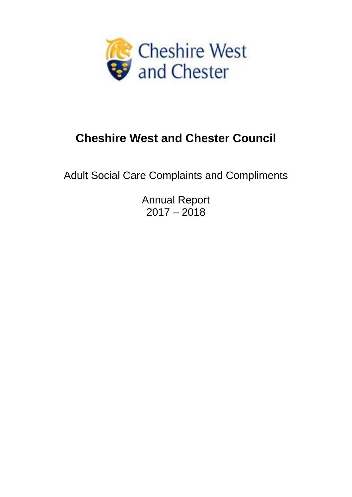

# **Cheshire West and Chester Council**

Adult Social Care Complaints and Compliments

Annual Report  $2017 - 2018$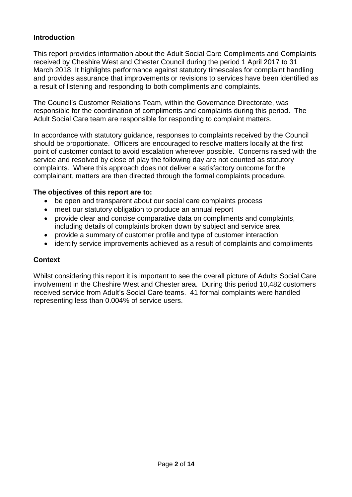# **Introduction**

This report provides information about the Adult Social Care Compliments and Complaints received by Cheshire West and Chester Council during the period 1 April 2017 to 31 March 2018. It highlights performance against statutory timescales for complaint handling and provides assurance that improvements or revisions to services have been identified as a result of listening and responding to both compliments and complaints.

The Council's Customer Relations Team, within the Governance Directorate, was responsible for the coordination of compliments and complaints during this period. The Adult Social Care team are responsible for responding to complaint matters.

In accordance with statutory guidance, responses to complaints received by the Council should be proportionate. Officers are encouraged to resolve matters locally at the first point of customer contact to avoid escalation wherever possible. Concerns raised with the service and resolved by close of play the following day are not counted as statutory complaints. Where this approach does not deliver a satisfactory outcome for the complainant, matters are then directed through the formal complaints procedure.

#### **The objectives of this report are to:**

- be open and transparent about our social care complaints process
- meet our statutory obligation to produce an annual report
- provide clear and concise comparative data on compliments and complaints, including details of complaints broken down by subject and service area
- provide a summary of customer profile and type of customer interaction
- identify service improvements achieved as a result of complaints and compliments

#### **Context**

Whilst considering this report it is important to see the overall picture of Adults Social Care involvement in the Cheshire West and Chester area. During this period 10,482 customers received service from Adult's Social Care teams. 41 formal complaints were handled representing less than 0.004% of service users.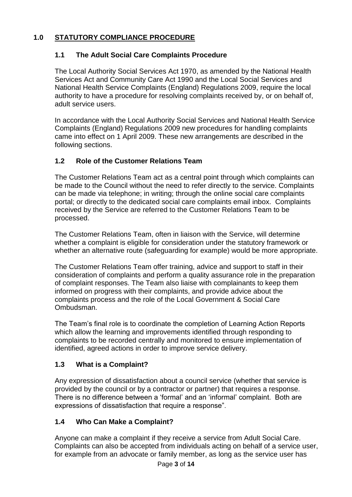# **1.0 STATUTORY COMPLIANCE PROCEDURE**

# **1.1 The Adult Social Care Complaints Procedure**

The Local Authority Social Services Act 1970, as amended by the National Health Services Act and Community Care Act 1990 and the Local Social Services and National Health Service Complaints (England) Regulations 2009, require the local authority to have a procedure for resolving complaints received by, or on behalf of, adult service users.

In accordance with the Local Authority Social Services and National Health Service Complaints (England) Regulations 2009 new procedures for handling complaints came into effect on 1 April 2009. These new arrangements are described in the following sections.

# **1.2 Role of the Customer Relations Team**

The Customer Relations Team act as a central point through which complaints can be made to the Council without the need to refer directly to the service. Complaints can be made via telephone; in writing; through the online social care complaints portal; or directly to the dedicated social care complaints email inbox. Complaints received by the Service are referred to the Customer Relations Team to be processed.

The Customer Relations Team, often in liaison with the Service, will determine whether a complaint is eligible for consideration under the statutory framework or whether an alternative route (safeguarding for example) would be more appropriate.

The Customer Relations Team offer training, advice and support to staff in their consideration of complaints and perform a quality assurance role in the preparation of complaint responses. The Team also liaise with complainants to keep them informed on progress with their complaints, and provide advice about the complaints process and the role of the Local Government & Social Care Ombudsman.

The Team's final role is to coordinate the completion of Learning Action Reports which allow the learning and improvements identified through responding to complaints to be recorded centrally and monitored to ensure implementation of identified, agreed actions in order to improve service delivery.

# **1.3 What is a Complaint?**

Any expression of dissatisfaction about a council service (whether that service is provided by the council or by a contractor or partner) that requires a response. There is no difference between a 'formal' and an 'informal' complaint. Both are expressions of dissatisfaction that require a response".

# **1.4 Who Can Make a Complaint?**

Anyone can make a complaint if they receive a service from Adult Social Care. Complaints can also be accepted from individuals acting on behalf of a service user, for example from an advocate or family member, as long as the service user has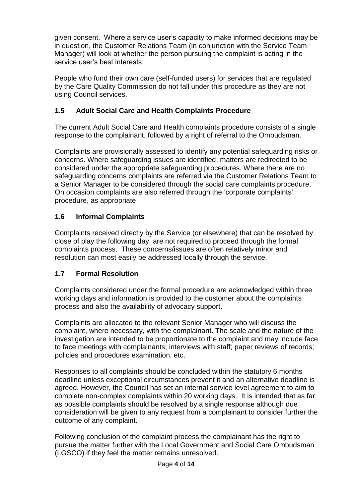given consent. Where a service user's capacity to make informed decisions may be in question, the Customer Relations Team (in conjunction with the Service Team Manager) will look at whether the person pursuing the complaint is acting in the service user's best interests.

People who fund their own care (self-funded users) for services that are regulated by the Care Quality Commission do not fall under this procedure as they are not using Council services.

# **1.5 Adult Social Care and Health Complaints Procedure**

The current Adult Social Care and Health complaints procedure consists of a single response to the complainant, followed by a right of referral to the Ombudsman.

Complaints are provisionally assessed to identify any potential safeguarding risks or concerns. Where safeguarding issues are identified, matters are redirected to be considered under the appropriate safeguarding procedures. Where there are no safeguarding concerns complaints are referred via the Customer Relations Team to a Senior Manager to be considered through the social care complaints procedure. On occasion complaints are also referred through the 'corporate complaints' procedure, as appropriate.

# **1.6 Informal Complaints**

Complaints received directly by the Service (or elsewhere) that can be resolved by close of play the following day, are not required to proceed through the formal complaints process. These concerns/issues are often relatively minor and resolution can most easily be addressed locally through the service.

# **1.7 Formal Resolution**

Complaints considered under the formal procedure are acknowledged within three working days and information is provided to the customer about the complaints process and also the availability of advocacy support.

Complaints are allocated to the relevant Senior Manager who will discuss the complaint, where necessary, with the complainant. The scale and the nature of the investigation are intended to be proportionate to the complaint and may include face to face meetings with complainants; interviews with staff; paper reviews of records; policies and procedures examination, etc.

Responses to all complaints should be concluded within the statutory 6 months deadline unless exceptional circumstances prevent it and an alternative deadline is agreed. However, the Council has set an internal service level agreement to aim to complete non-complex complaints within 20 working days. It is intended that as far as possible complaints should be resolved by a single response although due consideration will be given to any request from a complainant to consider further the outcome of any complaint.

Following conclusion of the complaint process the complainant has the right to pursue the matter further with the Local Government and Social Care Ombudsman (LGSCO) if they feel the matter remains unresolved.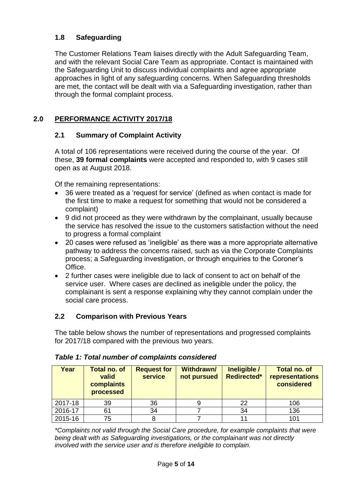# **1.8 Safeguarding**

The Customer Relations Team liaises directly with the Adult Safeguarding Team, and with the relevant Social Care Team as appropriate. Contact is maintained with the Safeguarding Unit to discuss individual complaints and agree appropriate approaches in light of any safeguarding concerns. When Safeguarding thresholds are met, the contact will be dealt with via a Safeguarding investigation, rather than through the formal complaint process.

# **2.0 PERFORMANCE ACTIVITY 2017/18**

### **2.1 Summary of Complaint Activity**

A total of 106 representations were received during the course of the year. Of these, **39 formal complaints** were accepted and responded to, with 9 cases still open as at August 2018.

Of the remaining representations:

- 36 were treated as a 'request for service' (defined as when contact is made for the first time to make a request for something that would not be considered a complaint)
- 9 did not proceed as they were withdrawn by the complainant, usually because the service has resolved the issue to the customers satisfaction without the need to progress a formal complaint
- 20 cases were refused as 'ineligible' as there was a more appropriate alternative pathway to address the concerns raised, such as via the Corporate Complaints process; a Safeguarding investigation, or through enquiries to the Coroner's Office.
- 2 further cases were ineligible due to lack of consent to act on behalf of the service user. Where cases are declined as ineligible under the policy, the complainant is sent a response explaining why they cannot complain under the social care process.

### **2.2 Comparison with Previous Years**

The table below shows the number of representations and progressed complaints for 2017/18 compared with the previous two years.

| Year    | <b>Total no. of</b><br>valid<br>complaints<br>processed | <b>Request for</b><br><b>service</b> | Withdrawn/<br>not pursued | Ineligible /<br><b>Redirected*</b> | <b>Total no. of</b><br>representations<br>considered |
|---------|---------------------------------------------------------|--------------------------------------|---------------------------|------------------------------------|------------------------------------------------------|
| 2017-18 | 39                                                      | 36                                   |                           | 22                                 | 106                                                  |
| 2016-17 | 61                                                      | 34                                   |                           | 34                                 | 136                                                  |
| 2015-16 | 75                                                      |                                      |                           |                                    | 101                                                  |

#### *Table 1: Total number of complaints considered*

*\*Complaints not valid through the Social Care procedure, for example complaints that were being dealt with as Safeguarding investigations, or the complainant was not directly involved with the service user and is therefore ineligible to complain.*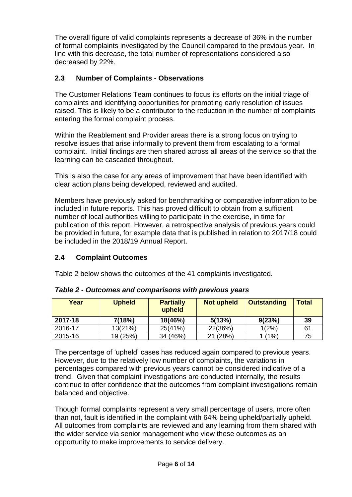The overall figure of valid complaints represents a decrease of 36% in the number of formal complaints investigated by the Council compared to the previous year. In line with this decrease, the total number of representations considered also decreased by 22%.

# **2.3 Number of Complaints - Observations**

The Customer Relations Team continues to focus its efforts on the initial triage of complaints and identifying opportunities for promoting early resolution of issues raised. This is likely to be a contributor to the reduction in the number of complaints entering the formal complaint process.

Within the Reablement and Provider areas there is a strong focus on trying to resolve issues that arise informally to prevent them from escalating to a formal complaint. Initial findings are then shared across all areas of the service so that the learning can be cascaded throughout.

This is also the case for any areas of improvement that have been identified with clear action plans being developed, reviewed and audited.

Members have previously asked for benchmarking or comparative information to be included in future reports. This has proved difficult to obtain from a sufficient number of local authorities willing to participate in the exercise, in time for publication of this report. However, a retrospective analysis of previous years could be provided in future, for example data that is published in relation to 2017/18 could be included in the 2018/19 Annual Report.

# **2.4 Complaint Outcomes**

Table 2 below shows the outcomes of the 41 complaints investigated.

| Year    | <b>Upheld</b> | <b>Partially</b><br>upheld | <b>Not upheld</b> | <b>Outstanding</b> | <b>Total</b> |
|---------|---------------|----------------------------|-------------------|--------------------|--------------|
| 2017-18 | 7(18%)        | 18(46%)                    | 5(13%)            | 9(23%)             | 39           |
| 2016-17 | 13(21%)       | 25(41%)                    | 22(36%)           | 1(2%)              | 61           |
| 2015-16 | 19 (25%)      | 34 (46%)                   | 21 (28%)          | $1(1\%)$           | 75           |

#### *Table 2 - Outcomes and comparisons with previous years*

The percentage of 'upheld' cases has reduced again compared to previous years. However, due to the relatively low number of complaints, the variations in percentages compared with previous years cannot be considered indicative of a trend. Given that complaint investigations are conducted internally, the results continue to offer confidence that the outcomes from complaint investigations remain balanced and objective.

Though formal complaints represent a very small percentage of users, more often than not, fault is identified in the complaint with 64% being upheld/partially upheld. All outcomes from complaints are reviewed and any learning from them shared with the wider service via senior management who view these outcomes as an opportunity to make improvements to service delivery.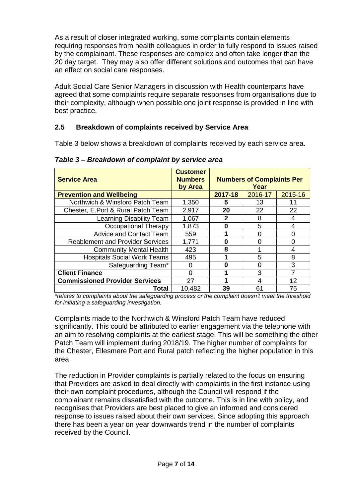As a result of closer integrated working, some complaints contain elements requiring responses from health colleagues in order to fully respond to issues raised by the complainant. These responses are complex and often take longer than the 20 day target. They may also offer different solutions and outcomes that can have an effect on social care responses.

Adult Social Care Senior Managers in discussion with Health counterparts have agreed that some complaints require separate responses from organisations due to their complexity, although when possible one joint response is provided in line with best practice.

# **2.5 Breakdown of complaints received by Service Area**

Table 3 below shows a breakdown of complaints received by each service area.

| <b>Service Area</b>                     | <b>Customer</b><br><b>Numbers</b><br>by Area | <b>Numbers of Complaints Per</b><br>Year |         |         |
|-----------------------------------------|----------------------------------------------|------------------------------------------|---------|---------|
| <b>Prevention and Wellbeing</b>         |                                              | 2017-18                                  | 2016-17 | 2015-16 |
| Northwich & Winsford Patch Team         | 1,350                                        | 5                                        | 13      | 11      |
| Chester, E.Port & Rural Patch Team      | 2,917                                        | 20                                       | 22      | 22      |
| Learning Disability Team                | 1,067                                        | 2                                        | 8       | 4       |
| <b>Occupational Therapy</b>             | 1,873                                        | 0                                        | 5       | 4       |
| <b>Advice and Contact Team</b>          | 559                                          |                                          |         | O       |
| <b>Reablement and Provider Services</b> | 1,771                                        | 0                                        | O       | U       |
| <b>Community Mental Health</b>          | 423                                          | 8                                        |         | 4       |
| <b>Hospitals Social Work Teams</b>      | 495                                          |                                          | 5       | 8       |
| Safeguarding Team*                      |                                              | ŋ                                        | O       | 3       |
| <b>Client Finance</b>                   | O                                            |                                          | 3       |         |
| <b>Commissioned Provider Services</b>   | 27                                           |                                          | 4       | 12      |
| Total                                   | 10,482                                       | 39                                       | 61      | 75      |

*Table 3 – Breakdown of complaint by service area*

*\*relates to complaints about the safeguarding process or the complaint doesn't meet the threshold for initiating a safeguarding investigation.*

Complaints made to the Northwich & Winsford Patch Team have reduced significantly. This could be attributed to earlier engagement via the telephone with an aim to resolving complaints at the earliest stage. This will be something the other Patch Team will implement during 2018/19. The higher number of complaints for the Chester, Ellesmere Port and Rural patch reflecting the higher population in this area.

The reduction in Provider complaints is partially related to the focus on ensuring that Providers are asked to deal directly with complaints in the first instance using their own complaint procedures, although the Council will respond if the complainant remains dissatisfied with the outcome. This is in line with policy, and recognises that Providers are best placed to give an informed and considered response to issues raised about their own services. Since adopting this approach there has been a year on year downwards trend in the number of complaints received by the Council.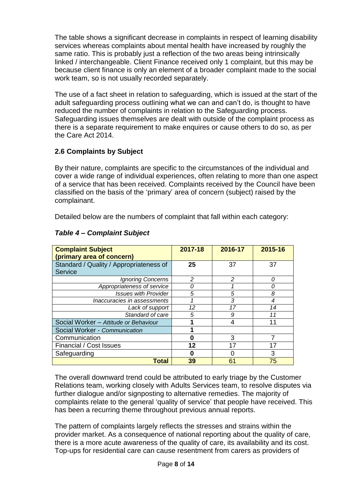The table shows a significant decrease in complaints in respect of learning disability services whereas complaints about mental health have increased by roughly the same ratio. This is probably just a reflection of the two areas being intrinsically linked / interchangeable. Client Finance received only 1 complaint, but this may be because client finance is only an element of a broader complaint made to the social work team, so is not usually recorded separately.

The use of a fact sheet in relation to safeguarding, which is issued at the start of the adult safeguarding process outlining what we can and can't do, is thought to have reduced the number of complaints in relation to the Safeguarding process. Safeguarding issues themselves are dealt with outside of the complaint process as there is a separate requirement to make enquires or cause others to do so, as per the Care Act 2014.

# **2.6 Complaints by Subject**

By their nature, complaints are specific to the circumstances of the individual and cover a wide range of individual experiences, often relating to more than one aspect of a service that has been received. Complaints received by the Council have been classified on the basis of the 'primary' area of concern (subject) raised by the complainant.

Detailed below are the numbers of complaint that fall within each category:

| <b>Complaint Subject</b><br>(primary area of concern) | 2017-18                  | 2016-17 | 2015-16 |
|-------------------------------------------------------|--------------------------|---------|---------|
| Standard / Quality / Appropriateness of               | 25                       | 37      | 37      |
| <b>Service</b>                                        |                          |         |         |
| <b>Ignoring Concerns</b>                              | $\overline{\mathcal{L}}$ | 2       | 0       |
| Appropriateness of service                            | 0                        |         | 0       |
| <b>Issues with Provider</b>                           | 5                        | 5       | 8       |
| Inaccuracies in assessments                           |                          | 3       | 4       |
| Lack of support                                       | 12                       | 17      | 14      |
| Standard of care                                      | 5                        | 9       | 11      |
| Social Worker - Attitude or Behaviour                 |                          | 4       | 11      |
| Social Worker - Communication                         |                          |         |         |
| Communication                                         |                          | 3       |         |
| Financial / Cost Issues                               | 12                       | 17      | 17      |
| Safeguarding                                          |                          | 0       | 3       |
| <b>Total</b>                                          | 39                       | 61      | 75      |

### *Table 4 – Complaint Subject*

The overall downward trend could be attributed to early triage by the Customer Relations team, working closely with Adults Services team, to resolve disputes via further dialogue and/or signposting to alternative remedies. The majority of complaints relate to the general 'quality of service' that people have received. This has been a recurring theme throughout previous annual reports.

The pattern of complaints largely reflects the stresses and strains within the provider market. As a consequence of national reporting about the quality of care, there is a more acute awareness of the quality of care, its availability and its cost. Top-ups for residential care can cause resentment from carers as providers of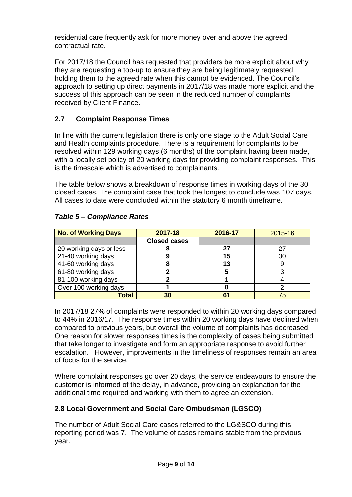residential care frequently ask for more money over and above the agreed contractual rate.

For 2017/18 the Council has requested that providers be more explicit about why they are requesting a top-up to ensure they are being legitimately requested, holding them to the agreed rate when this cannot be evidenced. The Council's approach to setting up direct payments in 2017/18 was made more explicit and the success of this approach can be seen in the reduced number of complaints received by Client Finance.

# **2.7 Complaint Response Times**

In line with the current legislation there is only one stage to the Adult Social Care and Health complaints procedure. There is a requirement for complaints to be resolved within 129 working days (6 months) of the complaint having been made, with a locally set policy of 20 working days for providing complaint responses. This is the timescale which is advertised to complainants.

The table below shows a breakdown of response times in working days of the 30 closed cases. The complaint case that took the longest to conclude was 107 days. All cases to date were concluded within the statutory 6 month timeframe.

| <b>No. of Working Days</b> | 2017-18             | 2016-17 | 2015-16 |
|----------------------------|---------------------|---------|---------|
|                            | <b>Closed cases</b> |         |         |
| 20 working days or less    |                     | 27      | 27      |
| 21-40 working days         |                     | 15      | 30      |
| 41-60 working days         |                     | 13      |         |
| 61-80 working days         |                     |         |         |
| 81-100 working days        |                     |         |         |
| Over 100 working days      |                     |         |         |
| Total                      | 30                  | 61      | 75      |

# *Table 5 – Compliance Rates*

In 2017/18 27% of complaints were responded to within 20 working days compared to 44% in 2016/17. The response times within 20 working days have declined when compared to previous years, but overall the volume of complaints has decreased. One reason for slower responses times is the complexity of cases being submitted that take longer to investigate and form an appropriate response to avoid further escalation. However, improvements in the timeliness of responses remain an area of focus for the service.

Where complaint responses go over 20 days, the service endeavours to ensure the customer is informed of the delay, in advance, providing an explanation for the additional time required and working with them to agree an extension.

# **2.8 Local Government and Social Care Ombudsman (LGSCO)**

The number of Adult Social Care cases referred to the LG&SCO during this reporting period was 7. The volume of cases remains stable from the previous year.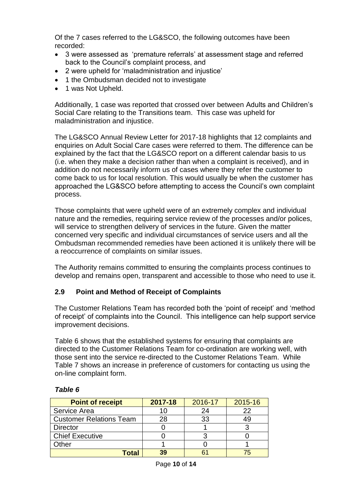Of the 7 cases referred to the LG&SCO, the following outcomes have been recorded:

- 3 were assessed as 'premature referrals' at assessment stage and referred back to the Council's complaint process, and
- 2 were upheld for 'maladministration and injustice'
- 1 the Ombudsman decided not to investigate
- 1 was Not Upheld.

Additionally, 1 case was reported that crossed over between Adults and Children's Social Care relating to the Transitions team. This case was upheld for maladministration and injustice.

The LG&SCO Annual Review Letter for 2017-18 highlights that 12 complaints and enquiries on Adult Social Care cases were referred to them. The difference can be explained by the fact that the LG&SCO report on a different calendar basis to us (i.e. when they make a decision rather than when a complaint is received), and in addition do not necessarily inform us of cases where they refer the customer to come back to us for local resolution. This would usually be when the customer has approached the LG&SCO before attempting to access the Council's own complaint process.

Those complaints that were upheld were of an extremely complex and individual nature and the remedies, requiring service review of the processes and/or polices, will service to strengthen delivery of services in the future. Given the matter concerned very specific and individual circumstances of service users and all the Ombudsman recommended remedies have been actioned it is unlikely there will be a reoccurrence of complaints on similar issues.

The Authority remains committed to ensuring the complaints process continues to develop and remains open, transparent and accessible to those who need to use it.

# **2.9 Point and Method of Receipt of Complaints**

The Customer Relations Team has recorded both the 'point of receipt' and 'method of receipt' of complaints into the Council. This intelligence can help support service improvement decisions.

Table 6 shows that the established systems for ensuring that complaints are directed to the Customer Relations Team for co-ordination are working well, with those sent into the service re-directed to the Customer Relations Team. While Table 7 shows an increase in preference of customers for contacting us using the on-line complaint form.

| <b>Point of receipt</b>        | 2017-18 | 2016-17 | 2015-16 |
|--------------------------------|---------|---------|---------|
| Service Area                   |         | 24      | 22      |
| <b>Customer Relations Team</b> | 28      | 33      |         |
| <b>Director</b>                |         |         |         |
| <b>Chief Executive</b>         |         |         |         |
| Other                          |         |         |         |
| Total                          | 39      |         |         |

### *Table 6*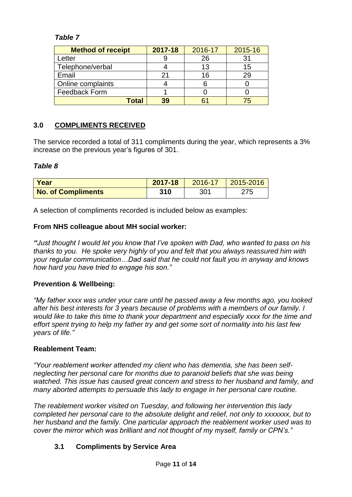# *Table 7*

| <b>Method of receipt</b> | 2017-18 | 2016-17 | $2015 - 16$ |
|--------------------------|---------|---------|-------------|
| Letter                   |         | 26      |             |
| Telephone/verbal         |         | 13      | 15          |
| Email                    | 21      | 16      | 29          |
| Online complaints        |         |         |             |
| Feedback Form            |         |         |             |
| Total                    | 39      |         | 75          |

# **3.0 COMPLIMENTS RECEIVED**

The service recorded a total of 311 compliments during the year, which represents a 3% increase on the previous year's figures of 301.

### *Table 8*

| <b>Year</b>               | 2017-18 | 2016-17 | $ 2015 - 2016 $ |
|---------------------------|---------|---------|-----------------|
| <b>No. of Compliments</b> | 310     | 301     | 275             |

A selection of compliments recorded is included below as examples:

#### **From NHS colleague about MH social worker:**

*"Just thought I would let you know that I've spoken with Dad, who wanted to pass on his thanks to you. He spoke very highly of you and felt that you always reassured him with your regular communication…Dad said that he could not fault you in anyway and knows how hard you have tried to engage his son."*

### **Prevention & Wellbeing:**

*"My father xxxx was under your care until he passed away a few months ago, you looked after his best interests for 3 years because of problems with a members of our family. I would like to take this time to thank your department and especially xxxx for the time and effort spent trying to help my father try and get some sort of normality into his last few years of life."*

### **Reablement Team:**

*"Your reablement worker attended my client who has dementia, she has been selfneglecting her personal care for months due to paranoid beliefs that she was being watched. This issue has caused great concern and stress to her husband and family, and many aborted attempts to persuade this lady to engage in her personal care routine.*

*The reablement worker visited on Tuesday, and following her intervention this lady completed her personal care to the absolute delight and relief, not only to xxxxxxx, but to her husband and the family. One particular approach the reablement worker used was to cover the mirror which was brilliant and not thought of my myself, family or CPN's."*

### **3.1 Compliments by Service Area**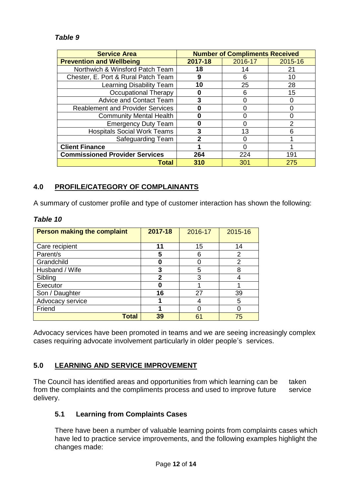### *Table 9*

| <b>Service Area</b>                     | <b>Number of Compliments Received</b> |         |         |  |
|-----------------------------------------|---------------------------------------|---------|---------|--|
| <b>Prevention and Wellbeing</b>         | 2017-18                               | 2016-17 | 2015-16 |  |
| Northwich & Winsford Patch Team         | 18                                    | 14      | 21      |  |
| Chester, E. Port & Rural Patch Team     | 9                                     | 6       | 10      |  |
| <b>Learning Disability Team</b>         | 10                                    | 25      | 28      |  |
| <b>Occupational Therapy</b>             | O                                     | 6       | 15      |  |
| <b>Advice and Contact Team</b>          |                                       |         |         |  |
| <b>Reablement and Provider Services</b> | 0                                     |         |         |  |
| <b>Community Mental Health</b>          |                                       |         |         |  |
| <b>Emergency Duty Team</b>              | O                                     |         | 2       |  |
| <b>Hospitals Social Work Teams</b>      | 3                                     | 13      | հ       |  |
| Safeguarding Team                       |                                       |         |         |  |
| <b>Client Finance</b>                   |                                       |         |         |  |
| <b>Commissioned Provider Services</b>   | 264                                   | 224     | 191     |  |
| Total                                   | 310                                   | 301     | 275     |  |

# **4.0 PROFILE/CATEGORY OF COMPLAINANTS**

A summary of customer profile and type of customer interaction has shown the following:

#### *Table 10*

| <b>Person making the complaint</b> | 2017-18      | 2016-17 | 2015-16 |
|------------------------------------|--------------|---------|---------|
| Care recipient                     | 11           | 15      | 14      |
| Parent/s                           | 5            | 6       | 2       |
| Grandchild                         |              |         | 2       |
| Husband / Wife                     | 3            | 5       | 8       |
| Sibling                            | $\mathbf{2}$ | 3       |         |
| Executor                           |              |         |         |
| Son / Daughter                     | 16           | 27      | 39      |
| Advocacy service                   |              |         | 5       |
| Friend                             |              |         |         |
| <b>Total</b>                       | 39           | 61      | 75      |

Advocacy services have been promoted in teams and we are seeing increasingly complex cases requiring advocate involvement particularly in older people's services.

### **5.0 LEARNING AND SERVICE IMPROVEMENT**

The Council has identified areas and opportunities from which learning can be taken from the complaints and the compliments process and used to improve future service delivery.

### **5.1 Learning from Complaints Cases**

There have been a number of valuable learning points from complaints cases which have led to practice service improvements, and the following examples highlight the changes made: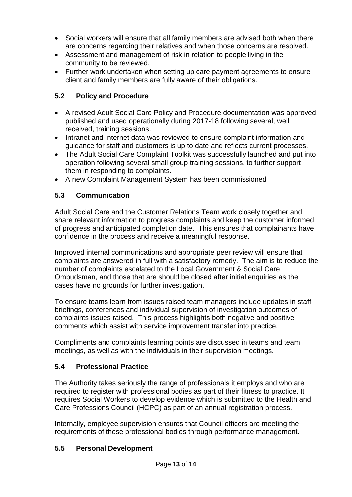- Social workers will ensure that all family members are advised both when there are concerns regarding their relatives and when those concerns are resolved.
- Assessment and management of risk in relation to people living in the community to be reviewed.
- Further work undertaken when setting up care payment agreements to ensure client and family members are fully aware of their obligations.

# **5.2 Policy and Procedure**

- A revised Adult Social Care Policy and Procedure documentation was approved, published and used operationally during 2017-18 following several, well received, training sessions.
- Intranet and Internet data was reviewed to ensure complaint information and guidance for staff and customers is up to date and reflects current processes.
- The Adult Social Care Complaint Toolkit was successfully launched and put into operation following several small group training sessions, to further support them in responding to complaints.
- A new Complaint Management System has been commissioned

# **5.3 Communication**

Adult Social Care and the Customer Relations Team work closely together and share relevant information to progress complaints and keep the customer informed of progress and anticipated completion date. This ensures that complainants have confidence in the process and receive a meaningful response.

Improved internal communications and appropriate peer review will ensure that complaints are answered in full with a satisfactory remedy. The aim is to reduce the number of complaints escalated to the Local Government & Social Care Ombudsman, and those that are should be closed after initial enquiries as the cases have no grounds for further investigation.

To ensure teams learn from issues raised team managers include updates in staff briefings, conferences and individual supervision of investigation outcomes of complaints issues raised. This process highlights both negative and positive comments which assist with service improvement transfer into practice.

Compliments and complaints learning points are discussed in teams and team meetings, as well as with the individuals in their supervision meetings.

### **5.4 Professional Practice**

The Authority takes seriously the range of professionals it employs and who are required to register with professional bodies as part of their fitness to practice. It requires Social Workers to develop evidence which is submitted to the Health and Care Professions Council (HCPC) as part of an annual registration process.

Internally, employee supervision ensures that Council officers are meeting the requirements of these professional bodies through performance management.

### **5.5 Personal Development**